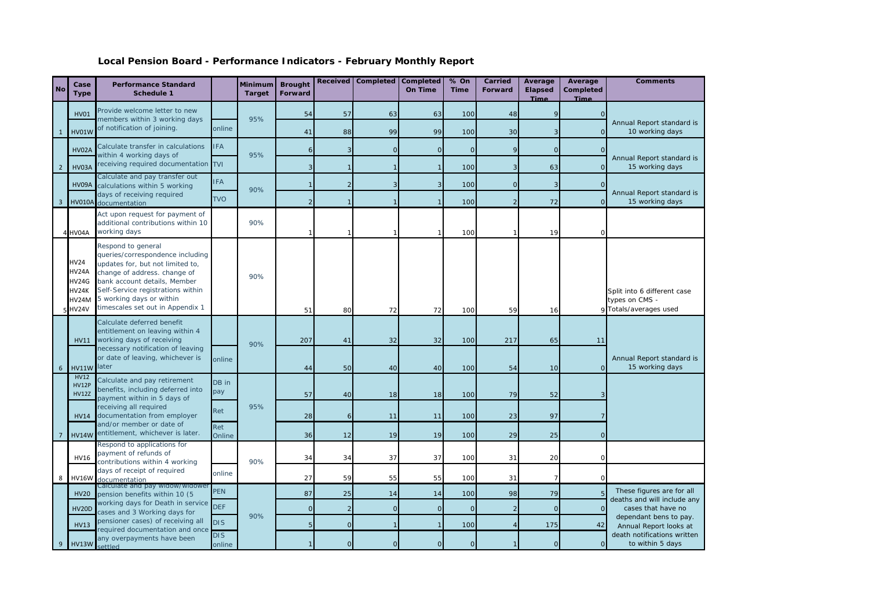## **Local Pension Board - Performance Indicators - February Monthly Report**

| <b>No</b>    | Case<br><b>Type</b>                                             | <b>Performance Standard</b><br>Schedule 1                                                                                                                                                                                                                       |                          | Minimum<br><b>Target</b> | <b>Brought</b><br>Forward | <b>Received</b> | <b>Completed</b> | Completed<br>On Time | % On<br><b>Time</b> | Carried<br>Forward | Average<br><b>Elapsed</b><br>Time | Average<br>Completed<br><b>Time</b> | <b>Comments</b>                                                                                          |  |
|--------------|-----------------------------------------------------------------|-----------------------------------------------------------------------------------------------------------------------------------------------------------------------------------------------------------------------------------------------------------------|--------------------------|--------------------------|---------------------------|-----------------|------------------|----------------------|---------------------|--------------------|-----------------------------------|-------------------------------------|----------------------------------------------------------------------------------------------------------|--|
|              | <b>HV01</b>                                                     | Provide welcome letter to new                                                                                                                                                                                                                                   |                          | 95%                      | 54                        | 57              | 63               | 63                   | 100                 | 48                 |                                   |                                     |                                                                                                          |  |
| $\mathbf{1}$ | <b>HV01W</b>                                                    | members within 3 working days<br>of notification of joining.                                                                                                                                                                                                    | online                   |                          | 41                        | 88              | 99               | 99                   | 100                 | 30                 |                                   | $\Omega$                            | Annual Report standard is<br>10 working days                                                             |  |
|              | <b>HV02A</b>                                                    | Calculate transfer in calculations                                                                                                                                                                                                                              | <b>IFA</b>               |                          |                           | 3               | $\mathbf{O}$     | $\mathbf{O}$         | $\Omega$            | $\mathbf Q$        | $\Omega$                          |                                     |                                                                                                          |  |
| 2            | HV03A                                                           | within 4 working days of<br>receiving required documentation TVI                                                                                                                                                                                                |                          | 95%                      |                           |                 |                  | $\mathbf{1}$         | 100                 | 3                  | 63                                | $\Omega$                            | Annual Report standard is<br>15 working days                                                             |  |
|              | HV09A                                                           | Calculate and pay transfer out<br>calculations within 5 working                                                                                                                                                                                                 | <b>FA</b>                |                          |                           | $\overline{2}$  | 3                | 3                    | 100                 | $\overline{0}$     |                                   | $\Omega$                            |                                                                                                          |  |
| 3            | <b>HV010A</b>                                                   | days of receiving required<br>documentation                                                                                                                                                                                                                     | <b>TVO</b>               | 90%                      |                           |                 |                  |                      | 100                 |                    | 72                                | $\Omega$                            | Annual Report standard is<br>15 working days                                                             |  |
|              | 4 HV04A                                                         | Act upon request for payment of<br>additional contributions within 10<br>working days                                                                                                                                                                           |                          | 90%                      |                           |                 |                  |                      | 10 <sup>c</sup>     |                    | 19                                |                                     |                                                                                                          |  |
|              | <b>HV24</b><br>HV24A<br>HV24G<br>HV24K<br>HV24M<br><b>HV24V</b> | Respond to general<br>queries/correspondence including<br>updates for, but not limited to,<br>change of address. change of<br>bank account details, Member<br>Self-Service registrations within<br>5 working days or within<br>timescales set out in Appendix 1 |                          | 90%                      | 51                        | 80              | 72               | 72                   | 10 <sub>C</sub>     | 59                 | 16                                |                                     | Split into 6 different case<br>types on CMS -<br>Totals/averages used                                    |  |
|              | <b>HV11</b>                                                     | Calculate deferred benefit<br>entitlement on leaving within 4<br>working days of receiving                                                                                                                                                                      |                          | 90%                      | 207                       | 41              | 32               | 32                   | 100                 | 217                | 65                                | 11                                  |                                                                                                          |  |
| 6            | <b>HV11W</b>                                                    | necessary notification of leaving<br>or date of leaving, whichever is<br>later                                                                                                                                                                                  | online                   |                          | 44                        | 50              | 40               | 40                   | 100                 | 54                 | 10                                | $\Omega$                            | Annual Report standard is<br>15 working days                                                             |  |
|              | <b>HV12</b><br><b>HV12P</b><br><b>HV12Z</b>                     | Calculate and pay retirement<br>benefits, including deferred into<br>payment within in 5 days of                                                                                                                                                                | DB in<br>pay             |                          | 57                        | 40              | 18               | 18                   | 100                 | 79                 | 52                                |                                     |                                                                                                          |  |
|              | <b>HV14</b>                                                     | receiving all required<br>documentation from employer                                                                                                                                                                                                           | Ret                      |                          | 95%                       | 28              | 6                | 11                   | 11                  | 100                | 23                                | 97                                  |                                                                                                          |  |
|              | <b>HV14W</b>                                                    | and/or member or date of<br>entitlement, whichever is later.                                                                                                                                                                                                    | Ret<br>Online            |                          | 36                        | 12              | 19               | 19                   | 100                 | 29                 | 25                                | $\Omega$                            |                                                                                                          |  |
|              | <b>HV16</b>                                                     | Respond to applications for<br>payment of refunds of<br>contributions within 4 working                                                                                                                                                                          |                          | 90%                      | 34                        | 34              | 37               | 37                   | 10 <sup>c</sup>     | 31                 | 20                                |                                     |                                                                                                          |  |
| 8            | <b>HV16W</b>                                                    | days of receipt of required<br>documentation                                                                                                                                                                                                                    | online                   |                          | 27                        | 59              | 55               | 55                   | 100                 | 31                 |                                   |                                     |                                                                                                          |  |
|              | <b>HV20</b>                                                     | Calculate and pay widow/widowe<br>pension benefits within 10 (5<br>working days for Death in service<br>cases and 3 Working days for                                                                                                                            | <b>PEN</b>               | 90%                      | 87                        | 25              | 14               | 14                   | 100                 | 98                 | 79                                |                                     | These figures are for all<br>deaths and will include any<br>cases that have no<br>dependant bens to pay. |  |
|              | <b>HV20D</b>                                                    |                                                                                                                                                                                                                                                                 | <b>DEF</b>               |                          | $\sqrt{ }$                | $\overline{2}$  | $\circ$          | $\mathbf 0$          | $\Omega$            | $\mathcal{P}$      | $\Omega$                          | $\Omega$                            |                                                                                                          |  |
|              | <b>HV13</b>                                                     | pensioner cases) of receiving all<br>required documentation and once                                                                                                                                                                                            | <b>DIS</b><br><b>DIS</b> |                          |                           | $\circ$         |                  |                      | 100                 |                    | 175                               | 42                                  | Annual Report looks at<br>death notifications written                                                    |  |
| 9            | <b>HV13W</b>                                                    | any overpayments have been<br>heltte:                                                                                                                                                                                                                           | online                   |                          |                           | $\Omega$        | $\Omega$         | $\Omega$             | $\Omega$            |                    |                                   | $\mathbf{O}$                        | to within 5 days                                                                                         |  |